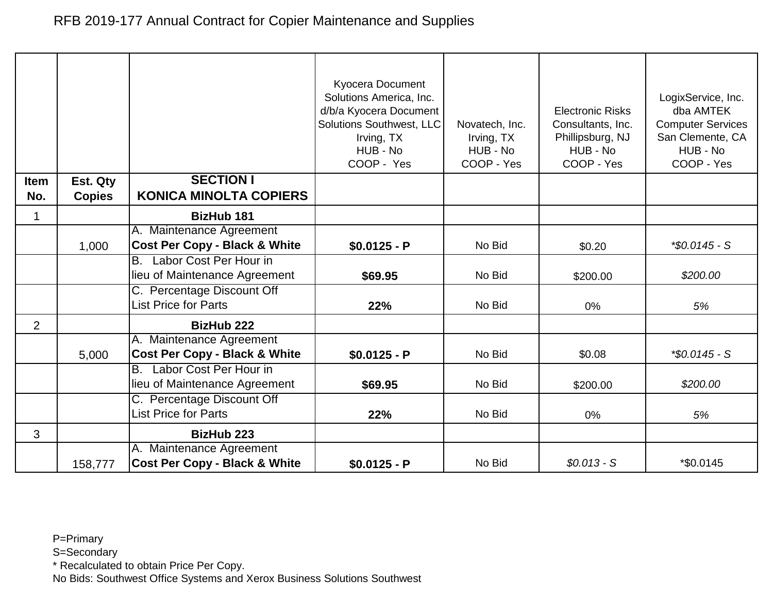|                |               |                                                           | Kyocera Document<br>Solutions America, Inc.<br>d/b/a Kyocera Document<br>Solutions Southwest, LLC<br>Irving, TX<br>HUB - No<br>COOP - Yes | Novatech, Inc.<br>Irving, TX<br>HUB - No<br>COOP - Yes | <b>Electronic Risks</b><br>Consultants, Inc.<br>Phillipsburg, NJ<br>HUB - No<br>COOP - Yes | LogixService, Inc.<br>dba AMTEK<br><b>Computer Services</b><br>San Clemente, CA<br>HUB - No<br>COOP - Yes |
|----------------|---------------|-----------------------------------------------------------|-------------------------------------------------------------------------------------------------------------------------------------------|--------------------------------------------------------|--------------------------------------------------------------------------------------------|-----------------------------------------------------------------------------------------------------------|
| Item           | Est. Qty      | <b>SECTION I</b>                                          |                                                                                                                                           |                                                        |                                                                                            |                                                                                                           |
| No.            | <b>Copies</b> | <b>KONICA MINOLTA COPIERS</b>                             |                                                                                                                                           |                                                        |                                                                                            |                                                                                                           |
| 1              |               | <b>BizHub 181</b>                                         |                                                                                                                                           |                                                        |                                                                                            |                                                                                                           |
|                |               | A. Maintenance Agreement                                  |                                                                                                                                           |                                                        |                                                                                            |                                                                                                           |
|                | 1,000         | <b>Cost Per Copy - Black &amp; White</b>                  | $$0.0125 - P$                                                                                                                             | No Bid                                                 | \$0.20                                                                                     | $*$ \$0.0145 - S                                                                                          |
|                |               | Labor Cost Per Hour in<br>В.                              |                                                                                                                                           |                                                        |                                                                                            |                                                                                                           |
|                |               | lieu of Maintenance Agreement                             | \$69.95                                                                                                                                   | No Bid                                                 | \$200.00                                                                                   | \$200.00                                                                                                  |
|                |               | C. Percentage Discount Off<br><b>List Price for Parts</b> | 22%                                                                                                                                       | No Bid                                                 | $0\%$                                                                                      | 5%                                                                                                        |
| $\overline{2}$ |               | <b>BizHub 222</b>                                         |                                                                                                                                           |                                                        |                                                                                            |                                                                                                           |
|                |               | A. Maintenance Agreement                                  |                                                                                                                                           |                                                        |                                                                                            |                                                                                                           |
|                | 5,000         | <b>Cost Per Copy - Black &amp; White</b>                  | $$0.0125 - P$                                                                                                                             | No Bid                                                 | \$0.08                                                                                     | $*$ \$0.0145 - S                                                                                          |
|                |               | Labor Cost Per Hour in<br><b>B.</b>                       |                                                                                                                                           |                                                        |                                                                                            |                                                                                                           |
|                |               | lieu of Maintenance Agreement                             | \$69.95                                                                                                                                   | No Bid                                                 | \$200.00                                                                                   | \$200.00                                                                                                  |
|                |               | C. Percentage Discount Off                                |                                                                                                                                           |                                                        |                                                                                            |                                                                                                           |
|                |               | <b>List Price for Parts</b>                               | 22%                                                                                                                                       | No Bid                                                 | 0%                                                                                         | 5%                                                                                                        |
| 3              |               | <b>BizHub 223</b>                                         |                                                                                                                                           |                                                        |                                                                                            |                                                                                                           |
|                |               | A. Maintenance Agreement                                  |                                                                                                                                           |                                                        |                                                                                            |                                                                                                           |
|                | 158,777       | <b>Cost Per Copy - Black &amp; White</b>                  | $$0.0125 - P$                                                                                                                             | No Bid                                                 | $$0.013 - S$                                                                               | *\$0.0145                                                                                                 |

S=Secondary

\* Recalculated to obtain Price Per Copy.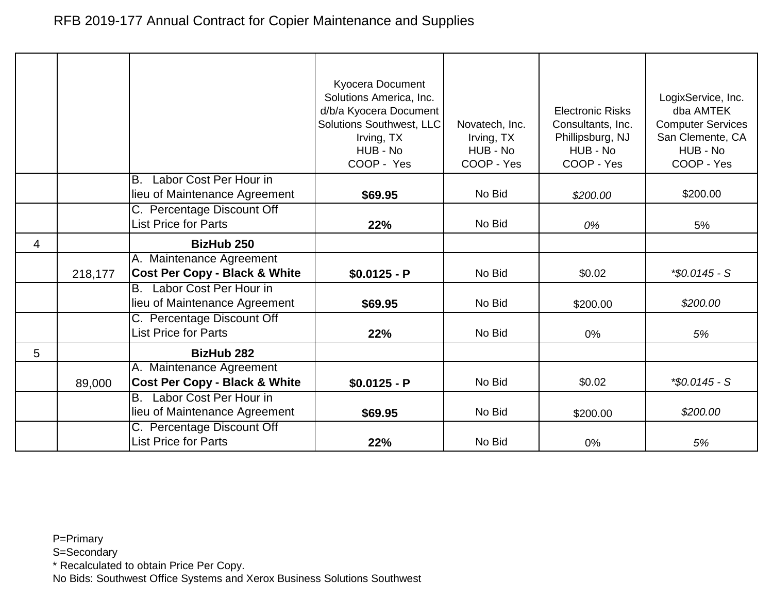|   |         |                                                                      | Kyocera Document<br>Solutions America, Inc.<br>d/b/a Kyocera Document<br><b>Solutions Southwest, LLC</b><br>Irving, TX<br>HUB - No<br>COOP - Yes | Novatech, Inc.<br>Irving, TX<br>HUB - No<br>COOP - Yes | <b>Electronic Risks</b><br>Consultants, Inc.<br>Phillipsburg, NJ<br>HUB - No<br>COOP - Yes | LogixService, Inc.<br>dba AMTEK<br><b>Computer Services</b><br>San Clemente, CA<br>HUB - No<br>COOP - Yes |
|---|---------|----------------------------------------------------------------------|--------------------------------------------------------------------------------------------------------------------------------------------------|--------------------------------------------------------|--------------------------------------------------------------------------------------------|-----------------------------------------------------------------------------------------------------------|
|   |         | Labor Cost Per Hour in<br>В.                                         |                                                                                                                                                  |                                                        |                                                                                            |                                                                                                           |
|   |         | lieu of Maintenance Agreement                                        | \$69.95                                                                                                                                          | No Bid                                                 | \$200.00                                                                                   | \$200.00                                                                                                  |
|   |         | C. Percentage Discount Off<br><b>List Price for Parts</b>            | 22%                                                                                                                                              | No Bid                                                 | 0%                                                                                         | 5%                                                                                                        |
| 4 |         | <b>BizHub 250</b>                                                    |                                                                                                                                                  |                                                        |                                                                                            |                                                                                                           |
|   | 218,177 | A. Maintenance Agreement<br><b>Cost Per Copy - Black &amp; White</b> | $$0.0125 - P$                                                                                                                                    | No Bid                                                 | \$0.02                                                                                     | *\$0.0145 - S                                                                                             |
|   |         | Labor Cost Per Hour in<br>В.<br>lieu of Maintenance Agreement        | \$69.95                                                                                                                                          | No Bid                                                 | \$200.00                                                                                   | \$200.00                                                                                                  |
|   |         | C. Percentage Discount Off<br><b>List Price for Parts</b>            | 22%                                                                                                                                              | No Bid                                                 | 0%                                                                                         | 5%                                                                                                        |
| 5 |         | <b>BizHub 282</b>                                                    |                                                                                                                                                  |                                                        |                                                                                            |                                                                                                           |
|   | 89,000  | A. Maintenance Agreement<br><b>Cost Per Copy - Black &amp; White</b> | $$0.0125 - P$                                                                                                                                    | No Bid                                                 | \$0.02                                                                                     | $*$ \$0.0145 - S                                                                                          |
|   |         | Labor Cost Per Hour in<br>B.<br>lieu of Maintenance Agreement        | \$69.95                                                                                                                                          | No Bid                                                 | \$200.00                                                                                   | \$200.00                                                                                                  |
|   |         | C. Percentage Discount Off<br><b>List Price for Parts</b>            | 22%                                                                                                                                              | No Bid                                                 | 0%                                                                                         | 5%                                                                                                        |

S=Secondary

\* Recalculated to obtain Price Per Copy.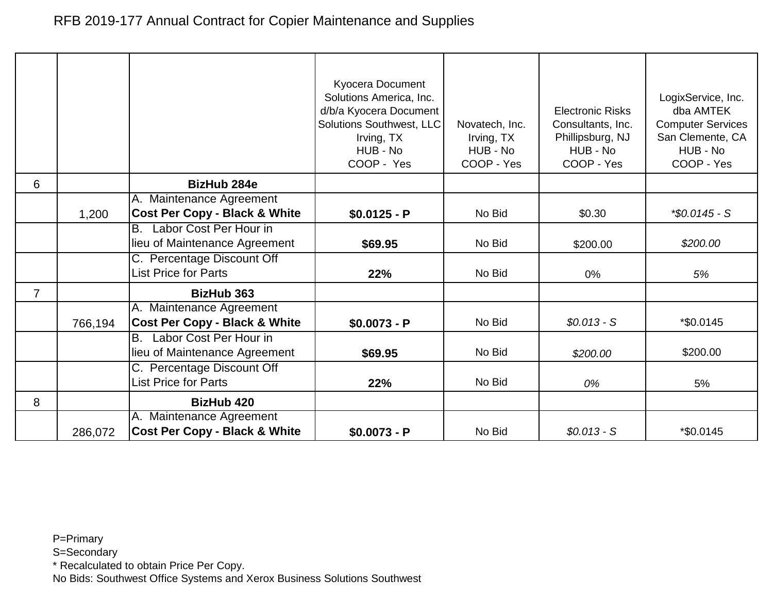|                |         |                                          | Kyocera Document<br>Solutions America, Inc.<br>d/b/a Kyocera Document<br>Solutions Southwest, LLC<br>Irving, TX<br>HUB - No<br>COOP - Yes | Novatech, Inc.<br>Irving, TX<br>HUB - No<br>COOP - Yes | <b>Electronic Risks</b><br>Consultants, Inc.<br>Phillipsburg, NJ<br>HUB - No<br>COOP - Yes | LogixService, Inc.<br>dba AMTEK<br><b>Computer Services</b><br>San Clemente, CA<br>HUB - No<br>COOP - Yes |
|----------------|---------|------------------------------------------|-------------------------------------------------------------------------------------------------------------------------------------------|--------------------------------------------------------|--------------------------------------------------------------------------------------------|-----------------------------------------------------------------------------------------------------------|
| 6              |         | <b>BizHub 284e</b>                       |                                                                                                                                           |                                                        |                                                                                            |                                                                                                           |
|                |         | A. Maintenance Agreement                 |                                                                                                                                           |                                                        |                                                                                            |                                                                                                           |
|                | 1,200   | <b>Cost Per Copy - Black &amp; White</b> | $$0.0125 - P$                                                                                                                             | No Bid                                                 | \$0.30                                                                                     | $*$ \$0.0145 - S                                                                                          |
|                |         | Labor Cost Per Hour in<br>В.             |                                                                                                                                           |                                                        |                                                                                            |                                                                                                           |
|                |         | lieu of Maintenance Agreement            | \$69.95                                                                                                                                   | No Bid                                                 | \$200.00                                                                                   | \$200.00                                                                                                  |
|                |         | C. Percentage Discount Off               |                                                                                                                                           |                                                        |                                                                                            |                                                                                                           |
|                |         | <b>List Price for Parts</b>              | 22%                                                                                                                                       | No Bid                                                 | 0%                                                                                         | 5%                                                                                                        |
| $\overline{7}$ |         | <b>BizHub 363</b>                        |                                                                                                                                           |                                                        |                                                                                            |                                                                                                           |
|                |         | A. Maintenance Agreement                 |                                                                                                                                           |                                                        |                                                                                            |                                                                                                           |
|                | 766,194 | <b>Cost Per Copy - Black &amp; White</b> | $$0.0073 - P$                                                                                                                             | No Bid                                                 | $$0.013 - S$                                                                               | *\$0.0145                                                                                                 |
|                |         | Labor Cost Per Hour in<br>В.             |                                                                                                                                           |                                                        |                                                                                            |                                                                                                           |
|                |         | lieu of Maintenance Agreement            | \$69.95                                                                                                                                   | No Bid                                                 | \$200.00                                                                                   | \$200.00                                                                                                  |
|                |         | C. Percentage Discount Off               |                                                                                                                                           |                                                        |                                                                                            |                                                                                                           |
|                |         | <b>List Price for Parts</b>              | 22%                                                                                                                                       | No Bid                                                 | 0%                                                                                         | 5%                                                                                                        |
| 8              |         | <b>BizHub 420</b>                        |                                                                                                                                           |                                                        |                                                                                            |                                                                                                           |
|                |         | A. Maintenance Agreement                 |                                                                                                                                           |                                                        |                                                                                            |                                                                                                           |
|                | 286,072 | <b>Cost Per Copy - Black &amp; White</b> | $$0.0073 - P$                                                                                                                             | No Bid                                                 | $$0.013 - S$                                                                               | *\$0.0145                                                                                                 |

S=Secondary

\* Recalculated to obtain Price Per Copy.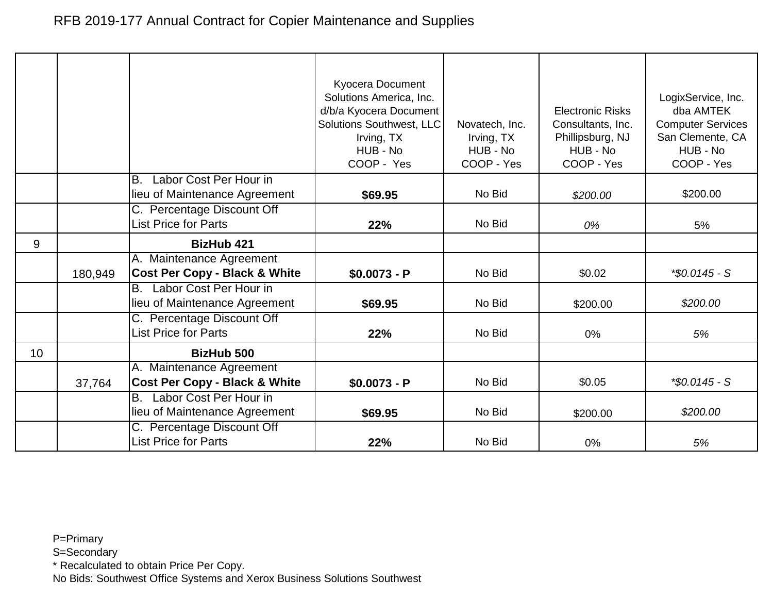|    |         |                                                                      | Kyocera Document<br>Solutions America, Inc.<br>d/b/a Kyocera Document<br><b>Solutions Southwest, LLC</b><br>Irving, TX<br>HUB - No<br>COOP - Yes | Novatech, Inc.<br>Irving, TX<br>HUB - No<br>COOP - Yes | <b>Electronic Risks</b><br>Consultants, Inc.<br>Phillipsburg, NJ<br>HUB - No<br>COOP - Yes | LogixService, Inc.<br>dba AMTEK<br><b>Computer Services</b><br>San Clemente, CA<br>HUB - No<br>COOP - Yes |
|----|---------|----------------------------------------------------------------------|--------------------------------------------------------------------------------------------------------------------------------------------------|--------------------------------------------------------|--------------------------------------------------------------------------------------------|-----------------------------------------------------------------------------------------------------------|
|    |         | Labor Cost Per Hour in<br>В.                                         |                                                                                                                                                  |                                                        |                                                                                            |                                                                                                           |
|    |         | lieu of Maintenance Agreement                                        | \$69.95                                                                                                                                          | No Bid                                                 | \$200.00                                                                                   | \$200.00                                                                                                  |
|    |         | C. Percentage Discount Off<br><b>List Price for Parts</b>            | 22%                                                                                                                                              | No Bid                                                 | 0%                                                                                         | 5%                                                                                                        |
|    |         |                                                                      |                                                                                                                                                  |                                                        |                                                                                            |                                                                                                           |
| 9  |         | <b>BizHub 421</b>                                                    |                                                                                                                                                  |                                                        |                                                                                            |                                                                                                           |
|    | 180,949 | A. Maintenance Agreement<br><b>Cost Per Copy - Black &amp; White</b> | $$0.0073 - P$                                                                                                                                    | No Bid                                                 | \$0.02                                                                                     | *\$0.0145 - S                                                                                             |
|    |         | Labor Cost Per Hour in<br>В.<br>lieu of Maintenance Agreement        | \$69.95                                                                                                                                          | No Bid                                                 | \$200.00                                                                                   | \$200.00                                                                                                  |
|    |         | C. Percentage Discount Off<br><b>List Price for Parts</b>            | 22%                                                                                                                                              | No Bid                                                 | 0%                                                                                         | 5%                                                                                                        |
| 10 |         | <b>BizHub 500</b>                                                    |                                                                                                                                                  |                                                        |                                                                                            |                                                                                                           |
|    |         | A. Maintenance Agreement                                             |                                                                                                                                                  |                                                        |                                                                                            |                                                                                                           |
|    | 37,764  | <b>Cost Per Copy - Black &amp; White</b>                             | $$0.0073 - P$                                                                                                                                    | No Bid                                                 | \$0.05                                                                                     | $*$ \$0.0145 - S                                                                                          |
|    |         | Labor Cost Per Hour in<br>B.                                         |                                                                                                                                                  |                                                        |                                                                                            |                                                                                                           |
|    |         | lieu of Maintenance Agreement                                        | \$69.95                                                                                                                                          | No Bid                                                 | \$200.00                                                                                   | \$200.00                                                                                                  |
|    |         | C. Percentage Discount Off                                           |                                                                                                                                                  |                                                        |                                                                                            |                                                                                                           |
|    |         | <b>List Price for Parts</b>                                          | 22%                                                                                                                                              | No Bid                                                 | 0%                                                                                         | 5%                                                                                                        |

S=Secondary

\* Recalculated to obtain Price Per Copy.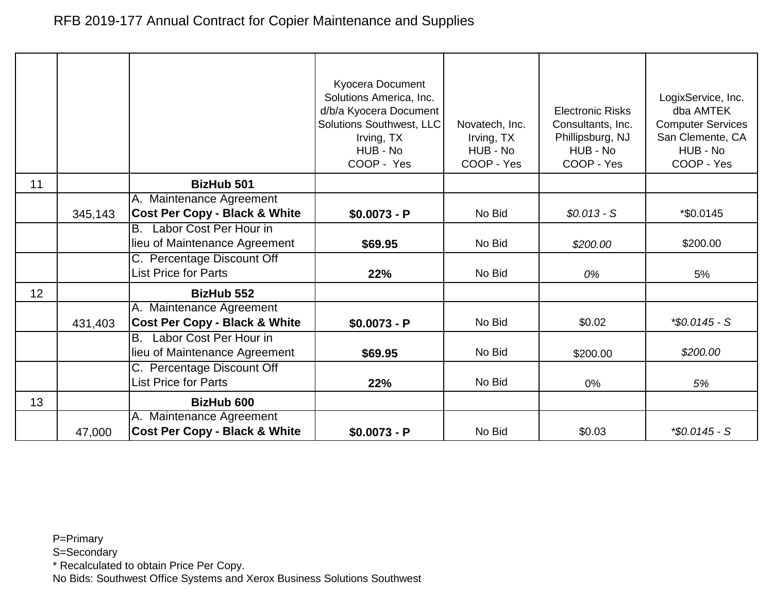|    |         |                                                            | Kyocera Document<br>Solutions America, Inc.<br>d/b/a Kyocera Document |                                          | <b>Electronic Risks</b>                           | LogixService, Inc.<br>dba AMTEK                          |
|----|---------|------------------------------------------------------------|-----------------------------------------------------------------------|------------------------------------------|---------------------------------------------------|----------------------------------------------------------|
|    |         |                                                            | Solutions Southwest, LLC<br>Irving, TX<br>HUB - No                    | Novatech, Inc.<br>Irving, TX<br>HUB - No | Consultants, Inc.<br>Phillipsburg, NJ<br>HUB - No | <b>Computer Services</b><br>San Clemente, CA<br>HUB - No |
|    |         |                                                            | COOP - Yes                                                            | COOP - Yes                               | COOP - Yes                                        | COOP - Yes                                               |
| 11 |         | <b>BizHub 501</b>                                          |                                                                       |                                          |                                                   |                                                          |
|    |         | A. Maintenance Agreement                                   |                                                                       |                                          |                                                   |                                                          |
|    | 345,143 | <b>Cost Per Copy - Black &amp; White</b>                   | $$0.0073 - P$                                                         | No Bid                                   | $$0.013 - S$                                      | *\$0.0145                                                |
|    |         | Labor Cost Per Hour in<br>IB.                              |                                                                       |                                          |                                                   |                                                          |
|    |         | lieu of Maintenance Agreement                              | \$69.95                                                               | No Bid                                   | \$200.00                                          | \$200.00                                                 |
|    |         | C. Percentage Discount Off<br><b>List Price for Parts</b>  | 22%                                                                   | No Bid                                   | 0%                                                | 5%                                                       |
| 12 |         | <b>BizHub 552</b>                                          |                                                                       |                                          |                                                   |                                                          |
|    |         | A. Maintenance Agreement                                   |                                                                       |                                          |                                                   |                                                          |
|    | 431,403 | <b>Cost Per Copy - Black &amp; White</b>                   | $$0.0073 - P$                                                         | No Bid                                   | \$0.02                                            | $*$ \$0.0145 - S                                         |
|    |         | B. Labor Cost Per Hour in<br>lieu of Maintenance Agreement |                                                                       | No Bid                                   |                                                   | \$200.00                                                 |
|    |         | C. Percentage Discount Off                                 | \$69.95                                                               |                                          | \$200.00                                          |                                                          |
|    |         | <b>List Price for Parts</b>                                | 22%                                                                   | No Bid                                   | 0%                                                | 5%                                                       |
| 13 |         | <b>BizHub 600</b>                                          |                                                                       |                                          |                                                   |                                                          |
|    |         | A. Maintenance Agreement                                   |                                                                       |                                          |                                                   |                                                          |
|    | 47,000  | <b>Cost Per Copy - Black &amp; White</b>                   | $$0.0073 - P$                                                         | No Bid                                   | \$0.03                                            | $*$ \$0.0145 - S                                         |

S=Secondary

\* Recalculated to obtain Price Per Copy.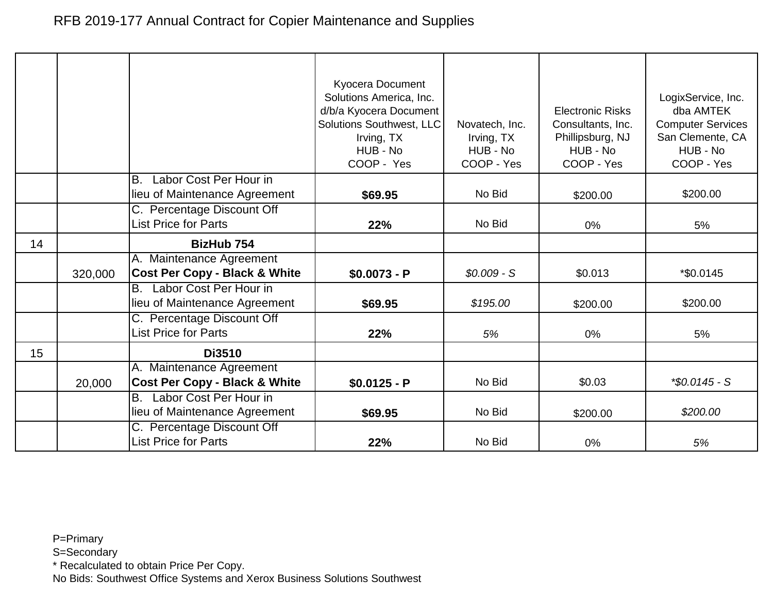|    |         |                                                                      | Kyocera Document<br>Solutions America, Inc.<br>d/b/a Kyocera Document<br><b>Solutions Southwest, LLC</b><br>Irving, TX<br>HUB - No<br>COOP - Yes | Novatech, Inc.<br>Irving, TX<br>HUB - No<br>COOP - Yes | <b>Electronic Risks</b><br>Consultants, Inc.<br>Phillipsburg, NJ<br>HUB - No<br>COOP - Yes | LogixService, Inc.<br>dba AMTEK<br><b>Computer Services</b><br>San Clemente, CA<br>HUB - No<br>COOP - Yes |
|----|---------|----------------------------------------------------------------------|--------------------------------------------------------------------------------------------------------------------------------------------------|--------------------------------------------------------|--------------------------------------------------------------------------------------------|-----------------------------------------------------------------------------------------------------------|
|    |         | Labor Cost Per Hour in<br>Β.                                         |                                                                                                                                                  |                                                        |                                                                                            |                                                                                                           |
|    |         | lieu of Maintenance Agreement                                        | \$69.95                                                                                                                                          | No Bid                                                 | \$200.00                                                                                   | \$200.00                                                                                                  |
|    |         | C. Percentage Discount Off<br><b>List Price for Parts</b>            | 22%                                                                                                                                              | No Bid                                                 | 0%                                                                                         | 5%                                                                                                        |
|    |         |                                                                      |                                                                                                                                                  |                                                        |                                                                                            |                                                                                                           |
| 14 |         | BizHub 754                                                           |                                                                                                                                                  |                                                        |                                                                                            |                                                                                                           |
|    | 320,000 | A. Maintenance Agreement<br><b>Cost Per Copy - Black &amp; White</b> | $$0.0073 - P$                                                                                                                                    | $$0.009 - S$                                           | \$0.013                                                                                    | *\$0.0145                                                                                                 |
|    |         | Labor Cost Per Hour in<br>B.<br>lieu of Maintenance Agreement        | \$69.95                                                                                                                                          | \$195.00                                               | \$200.00                                                                                   | \$200.00                                                                                                  |
|    |         | C. Percentage Discount Off<br><b>List Price for Parts</b>            | 22%                                                                                                                                              | 5%                                                     | $0\%$                                                                                      | 5%                                                                                                        |
| 15 |         | <b>Di3510</b>                                                        |                                                                                                                                                  |                                                        |                                                                                            |                                                                                                           |
|    |         | A. Maintenance Agreement                                             |                                                                                                                                                  |                                                        |                                                                                            |                                                                                                           |
|    | 20,000  | <b>Cost Per Copy - Black &amp; White</b>                             | $$0.0125 - P$                                                                                                                                    | No Bid                                                 | \$0.03                                                                                     | $*$ \$0.0145 - S                                                                                          |
|    |         | Labor Cost Per Hour in<br>В.                                         |                                                                                                                                                  |                                                        |                                                                                            |                                                                                                           |
|    |         | lieu of Maintenance Agreement                                        | \$69.95                                                                                                                                          | No Bid                                                 | \$200.00                                                                                   | \$200.00                                                                                                  |
|    |         | C. Percentage Discount Off                                           |                                                                                                                                                  |                                                        |                                                                                            |                                                                                                           |
|    |         | List Price for Parts                                                 | 22%                                                                                                                                              | No Bid                                                 | 0%                                                                                         | 5%                                                                                                        |

S=Secondary

\* Recalculated to obtain Price Per Copy.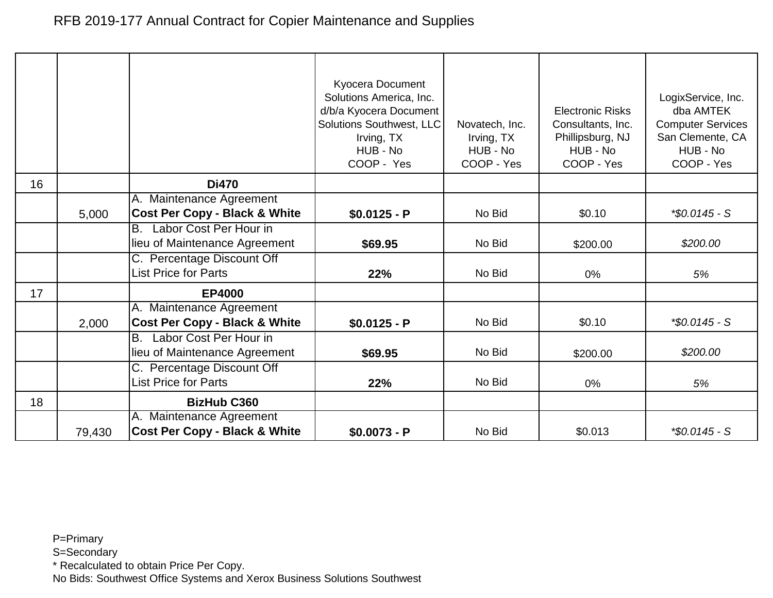|    |        |                                          | Kyocera Document<br>Solutions America, Inc.<br>d/b/a Kyocera Document<br>Solutions Southwest, LLC<br>Irving, TX<br>HUB - No<br>COOP - Yes | Novatech, Inc.<br>Irving, TX<br>HUB - No<br>COOP - Yes | <b>Electronic Risks</b><br>Consultants, Inc.<br>Phillipsburg, NJ<br>HUB - No<br>COOP - Yes | LogixService, Inc.<br>dba AMTEK<br><b>Computer Services</b><br>San Clemente, CA<br>HUB - No<br>COOP - Yes |
|----|--------|------------------------------------------|-------------------------------------------------------------------------------------------------------------------------------------------|--------------------------------------------------------|--------------------------------------------------------------------------------------------|-----------------------------------------------------------------------------------------------------------|
| 16 |        | <b>Di470</b>                             |                                                                                                                                           |                                                        |                                                                                            |                                                                                                           |
|    |        | A. Maintenance Agreement                 |                                                                                                                                           |                                                        |                                                                                            |                                                                                                           |
|    | 5,000  | <b>Cost Per Copy - Black &amp; White</b> | $$0.0125 - P$                                                                                                                             | No Bid                                                 | \$0.10                                                                                     | $*$ \$0.0145 - S                                                                                          |
|    |        | Labor Cost Per Hour in<br>B.             |                                                                                                                                           |                                                        |                                                                                            |                                                                                                           |
|    |        | lieu of Maintenance Agreement            | \$69.95                                                                                                                                   | No Bid                                                 | \$200.00                                                                                   | \$200.00                                                                                                  |
|    |        | C. Percentage Discount Off               |                                                                                                                                           |                                                        |                                                                                            |                                                                                                           |
|    |        | <b>List Price for Parts</b>              | 22%                                                                                                                                       | No Bid                                                 | 0%                                                                                         | 5%                                                                                                        |
| 17 |        | <b>EP4000</b>                            |                                                                                                                                           |                                                        |                                                                                            |                                                                                                           |
|    |        | A. Maintenance Agreement                 |                                                                                                                                           |                                                        |                                                                                            |                                                                                                           |
|    | 2,000  | <b>Cost Per Copy - Black &amp; White</b> | $$0.0125 - P$                                                                                                                             | No Bid                                                 | \$0.10                                                                                     | $*$ \$0.0145 - S                                                                                          |
|    |        | Labor Cost Per Hour in<br><b>B.</b>      |                                                                                                                                           |                                                        |                                                                                            |                                                                                                           |
|    |        | lieu of Maintenance Agreement            | \$69.95                                                                                                                                   | No Bid                                                 | \$200.00                                                                                   | \$200.00                                                                                                  |
|    |        | C. Percentage Discount Off               |                                                                                                                                           |                                                        |                                                                                            |                                                                                                           |
|    |        | <b>List Price for Parts</b>              | 22%                                                                                                                                       | No Bid                                                 | 0%                                                                                         | 5%                                                                                                        |
| 18 |        | <b>BizHub C360</b>                       |                                                                                                                                           |                                                        |                                                                                            |                                                                                                           |
|    |        | A. Maintenance Agreement                 |                                                                                                                                           |                                                        |                                                                                            |                                                                                                           |
|    | 79,430 | <b>Cost Per Copy - Black &amp; White</b> | $$0.0073 - P$                                                                                                                             | No Bid                                                 | \$0.013                                                                                    | $*$ \$0.0145 - S                                                                                          |

S=Secondary

\* Recalculated to obtain Price Per Copy.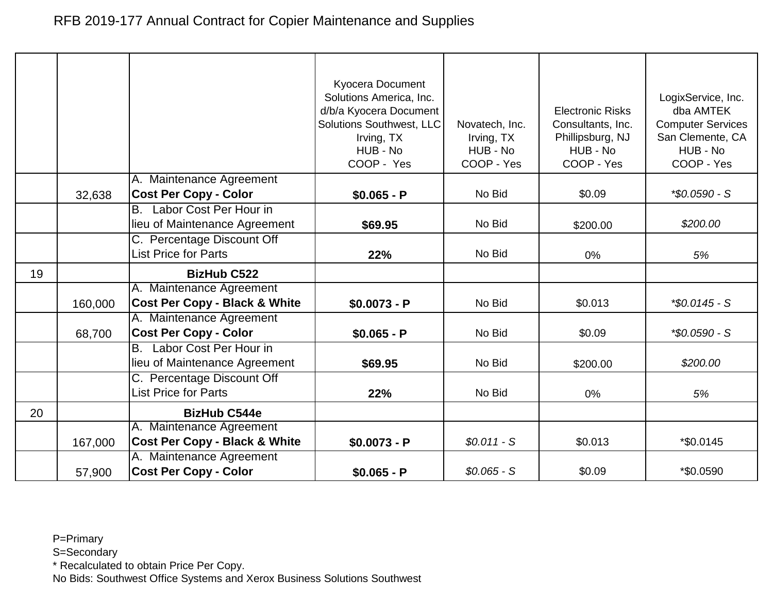|    |         |                                                                      | <b>Kyocera Document</b><br>Solutions America, Inc.<br>d/b/a Kyocera Document<br>Solutions Southwest, LLC<br>Irving, TX<br>HUB - No<br>COOP - Yes | Novatech, Inc.<br>Irving, TX<br>HUB - No<br>COOP - Yes | <b>Electronic Risks</b><br>Consultants, Inc.<br>Phillipsburg, NJ<br>HUB - No<br>COOP - Yes | LogixService, Inc.<br>dba AMTEK<br><b>Computer Services</b><br>San Clemente, CA<br>HUB - No<br>COOP - Yes |
|----|---------|----------------------------------------------------------------------|--------------------------------------------------------------------------------------------------------------------------------------------------|--------------------------------------------------------|--------------------------------------------------------------------------------------------|-----------------------------------------------------------------------------------------------------------|
|    |         | A. Maintenance Agreement                                             |                                                                                                                                                  |                                                        |                                                                                            |                                                                                                           |
|    | 32,638  | <b>Cost Per Copy - Color</b>                                         | $$0.065 - P$                                                                                                                                     | No Bid                                                 | \$0.09                                                                                     | *\$0.0590 - S                                                                                             |
|    |         | B. Labor Cost Per Hour in                                            |                                                                                                                                                  | No Bid                                                 |                                                                                            | \$200.00                                                                                                  |
|    |         | lieu of Maintenance Agreement                                        | \$69.95                                                                                                                                          |                                                        | \$200.00                                                                                   |                                                                                                           |
|    |         | C. Percentage Discount Off<br><b>List Price for Parts</b>            | 22%                                                                                                                                              | No Bid                                                 | 0%                                                                                         | 5%                                                                                                        |
| 19 |         | <b>BizHub C522</b>                                                   |                                                                                                                                                  |                                                        |                                                                                            |                                                                                                           |
|    | 160,000 | A. Maintenance Agreement<br><b>Cost Per Copy - Black &amp; White</b> | $$0.0073 - P$                                                                                                                                    | No Bid                                                 | \$0.013                                                                                    | $*$ \$0.0145 - S                                                                                          |
|    | 68,700  | A. Maintenance Agreement<br><b>Cost Per Copy - Color</b>             | $$0.065 - P$                                                                                                                                     | No Bid                                                 | \$0.09                                                                                     | *\$0.0590 - S                                                                                             |
|    |         | Labor Cost Per Hour in<br>B.<br>lieu of Maintenance Agreement        | \$69.95                                                                                                                                          | No Bid                                                 | \$200.00                                                                                   | \$200.00                                                                                                  |
|    |         | C. Percentage Discount Off<br><b>List Price for Parts</b>            | 22%                                                                                                                                              | No Bid                                                 | 0%                                                                                         | 5%                                                                                                        |
| 20 |         | <b>BizHub C544e</b>                                                  |                                                                                                                                                  |                                                        |                                                                                            |                                                                                                           |
|    | 167,000 | A. Maintenance Agreement<br><b>Cost Per Copy - Black &amp; White</b> | $$0.0073 - P$                                                                                                                                    | $$0.011 - S$                                           | \$0.013                                                                                    | *\$0.0145                                                                                                 |
|    | 57,900  | A. Maintenance Agreement<br><b>Cost Per Copy - Color</b>             | $$0.065 - P$                                                                                                                                     | $$0.065 - S$                                           | \$0.09                                                                                     | *\$0.0590                                                                                                 |

S=Secondary

\* Recalculated to obtain Price Per Copy.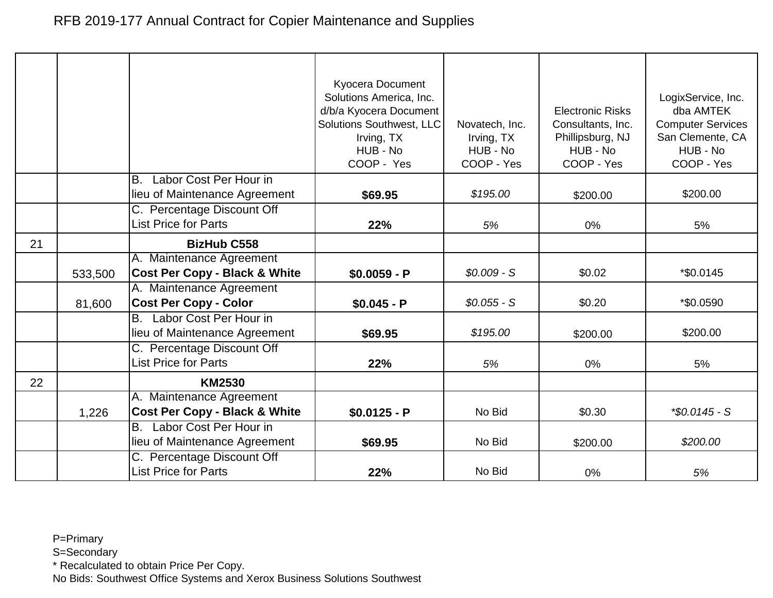|    |         |                                                                      | <b>Kyocera Document</b><br>Solutions America, Inc.<br>d/b/a Kyocera Document<br>Solutions Southwest, LLC<br>Irving, TX<br>HUB - No<br>COOP - Yes | Novatech, Inc.<br>Irving, TX<br>HUB - No<br>COOP - Yes | <b>Electronic Risks</b><br>Consultants, Inc.<br>Phillipsburg, NJ<br>HUB - No<br>COOP - Yes | LogixService, Inc.<br>dba AMTEK<br><b>Computer Services</b><br>San Clemente, CA<br>HUB - No<br>COOP - Yes |
|----|---------|----------------------------------------------------------------------|--------------------------------------------------------------------------------------------------------------------------------------------------|--------------------------------------------------------|--------------------------------------------------------------------------------------------|-----------------------------------------------------------------------------------------------------------|
|    |         | Labor Cost Per Hour in<br>B.<br>lieu of Maintenance Agreement        | \$69.95                                                                                                                                          | \$195.00                                               | \$200.00                                                                                   | \$200.00                                                                                                  |
|    |         | C. Percentage Discount Off<br><b>List Price for Parts</b>            | 22%                                                                                                                                              | 5%                                                     | $0\%$                                                                                      | 5%                                                                                                        |
| 21 |         | <b>BizHub C558</b>                                                   |                                                                                                                                                  |                                                        |                                                                                            |                                                                                                           |
|    | 533,500 | A. Maintenance Agreement<br><b>Cost Per Copy - Black &amp; White</b> | $$0.0059 - P$                                                                                                                                    | $$0.009 - S$                                           | \$0.02                                                                                     | *\$0.0145                                                                                                 |
|    | 81,600  | A. Maintenance Agreement<br><b>Cost Per Copy - Color</b>             | $$0.045 - P$                                                                                                                                     | $$0.055 - S$                                           | \$0.20                                                                                     | *\$0.0590                                                                                                 |
|    |         | Labor Cost Per Hour in<br>B.<br>lieu of Maintenance Agreement        | \$69.95                                                                                                                                          | \$195.00                                               | \$200.00                                                                                   | \$200.00                                                                                                  |
|    |         | C. Percentage Discount Off<br><b>List Price for Parts</b>            | 22%                                                                                                                                              | 5%                                                     | $0\%$                                                                                      | 5%                                                                                                        |
| 22 |         | <b>KM2530</b>                                                        |                                                                                                                                                  |                                                        |                                                                                            |                                                                                                           |
|    | 1,226   | A. Maintenance Agreement<br><b>Cost Per Copy - Black &amp; White</b> | $$0.0125 - P$                                                                                                                                    | No Bid                                                 | \$0.30                                                                                     | $*$ \$0.0145 - S                                                                                          |
|    |         | Labor Cost Per Hour in<br><b>B.</b><br>lieu of Maintenance Agreement | \$69.95                                                                                                                                          | No Bid                                                 | \$200.00                                                                                   | \$200.00                                                                                                  |
|    |         | C. Percentage Discount Off<br><b>List Price for Parts</b>            | 22%                                                                                                                                              | No Bid                                                 | 0%                                                                                         | 5%                                                                                                        |

S=Secondary

\* Recalculated to obtain Price Per Copy.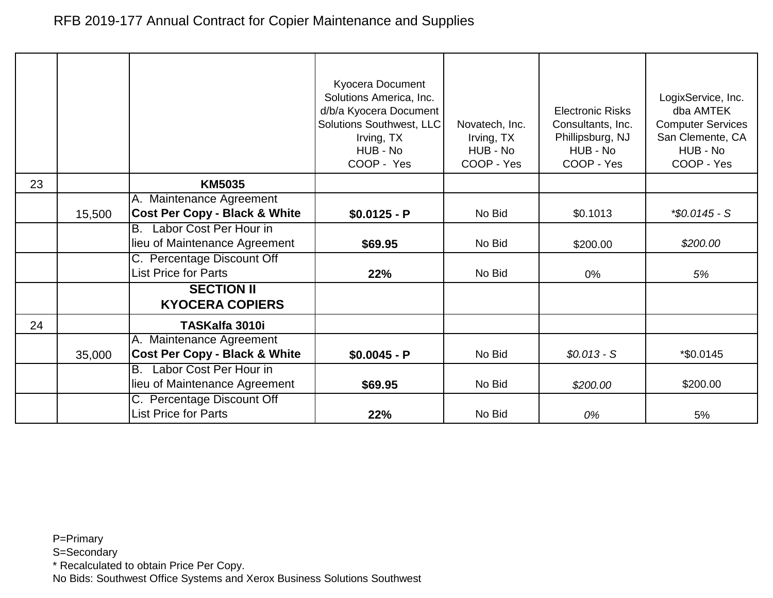|    |        |                                                                      | Kyocera Document<br>Solutions America, Inc.<br>d/b/a Kyocera Document<br>Solutions Southwest, LLC<br>Irving, TX<br>HUB - No<br>COOP - Yes | Novatech, Inc.<br>Irving, TX<br>HUB - No<br>COOP - Yes | <b>Electronic Risks</b><br>Consultants, Inc.<br>Phillipsburg, NJ<br>HUB - No<br>COOP - Yes | LogixService, Inc.<br>dba AMTEK<br><b>Computer Services</b><br>San Clemente, CA<br>HUB - No<br>COOP - Yes |
|----|--------|----------------------------------------------------------------------|-------------------------------------------------------------------------------------------------------------------------------------------|--------------------------------------------------------|--------------------------------------------------------------------------------------------|-----------------------------------------------------------------------------------------------------------|
| 23 |        | <b>KM5035</b>                                                        |                                                                                                                                           |                                                        |                                                                                            |                                                                                                           |
|    | 15,500 | A. Maintenance Agreement<br><b>Cost Per Copy - Black &amp; White</b> | $$0.0125 - P$                                                                                                                             | No Bid                                                 | \$0.1013                                                                                   | $$0.0145 - S$                                                                                             |
|    |        | Labor Cost Per Hour in<br>B.<br>lieu of Maintenance Agreement        | \$69.95                                                                                                                                   | No Bid                                                 | \$200.00                                                                                   | \$200.00                                                                                                  |
|    |        | C. Percentage Discount Off<br><b>List Price for Parts</b>            | 22%                                                                                                                                       | No Bid                                                 | 0%                                                                                         | 5%                                                                                                        |
|    |        | <b>SECTION II</b><br><b>KYOCERA COPIERS</b>                          |                                                                                                                                           |                                                        |                                                                                            |                                                                                                           |
| 24 |        | TASKalfa 3010i                                                       |                                                                                                                                           |                                                        |                                                                                            |                                                                                                           |
|    | 35,000 | A. Maintenance Agreement<br><b>Cost Per Copy - Black &amp; White</b> | $$0.0045 - P$                                                                                                                             | No Bid                                                 | $$0.013 - S$                                                                               | *\$0.0145                                                                                                 |
|    |        | Labor Cost Per Hour in<br>В.<br>lieu of Maintenance Agreement        | \$69.95                                                                                                                                   | No Bid                                                 | \$200.00                                                                                   | \$200.00                                                                                                  |
|    |        | C. Percentage Discount Off<br><b>List Price for Parts</b>            | 22%                                                                                                                                       | No Bid                                                 | 0%                                                                                         | 5%                                                                                                        |

S=Secondary

\* Recalculated to obtain Price Per Copy.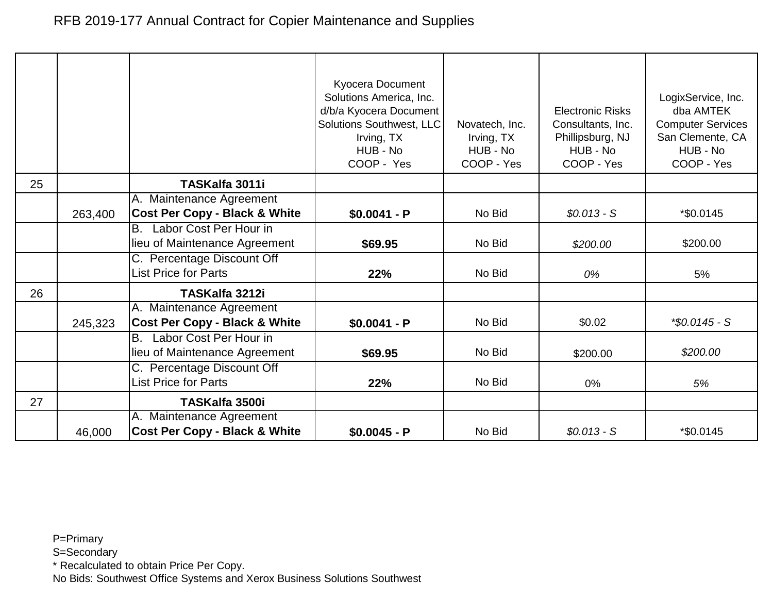|    |         |                                                                      | <b>Kyocera Document</b><br>Solutions America, Inc.<br>d/b/a Kyocera Document<br>Solutions Southwest, LLC<br>Irving, TX<br>HUB - No<br>COOP - Yes | Novatech, Inc.<br>Irving, TX<br>HUB - No<br>COOP - Yes | <b>Electronic Risks</b><br>Consultants, Inc.<br>Phillipsburg, NJ<br>HUB - No<br>COOP - Yes | LogixService, Inc.<br>dba AMTEK<br><b>Computer Services</b><br>San Clemente, CA<br>HUB - No<br>COOP - Yes |
|----|---------|----------------------------------------------------------------------|--------------------------------------------------------------------------------------------------------------------------------------------------|--------------------------------------------------------|--------------------------------------------------------------------------------------------|-----------------------------------------------------------------------------------------------------------|
| 25 |         | TASKalfa 3011i                                                       |                                                                                                                                                  |                                                        |                                                                                            |                                                                                                           |
|    | 263,400 | A. Maintenance Agreement<br><b>Cost Per Copy - Black &amp; White</b> | $$0.0041 - P$                                                                                                                                    | No Bid                                                 | $$0.013 - S$                                                                               | *\$0.0145                                                                                                 |
|    |         | Labor Cost Per Hour in<br>B.<br>lieu of Maintenance Agreement        | \$69.95                                                                                                                                          | No Bid                                                 | \$200.00                                                                                   | \$200.00                                                                                                  |
|    |         | C. Percentage Discount Off<br><b>List Price for Parts</b>            | 22%                                                                                                                                              | No Bid                                                 | 0%                                                                                         | 5%                                                                                                        |
| 26 |         | TASKalfa 3212i                                                       |                                                                                                                                                  |                                                        |                                                                                            |                                                                                                           |
|    | 245,323 | A. Maintenance Agreement<br><b>Cost Per Copy - Black &amp; White</b> | $$0.0041 - P$                                                                                                                                    | No Bid                                                 | \$0.02                                                                                     | $*$ \$0.0145 - S                                                                                          |
|    |         | B. Labor Cost Per Hour in<br>lieu of Maintenance Agreement           | \$69.95                                                                                                                                          | No Bid                                                 | \$200.00                                                                                   | \$200.00                                                                                                  |
|    |         | C. Percentage Discount Off<br><b>List Price for Parts</b>            | 22%                                                                                                                                              | No Bid                                                 | 0%                                                                                         | 5%                                                                                                        |
| 27 |         | <b>TASKalfa 3500i</b>                                                |                                                                                                                                                  |                                                        |                                                                                            |                                                                                                           |
|    | 46,000  | A. Maintenance Agreement<br><b>Cost Per Copy - Black &amp; White</b> | $$0.0045 - P$                                                                                                                                    | No Bid                                                 | $$0.013 - S$                                                                               | *\$0.0145                                                                                                 |

S=Secondary

\* Recalculated to obtain Price Per Copy.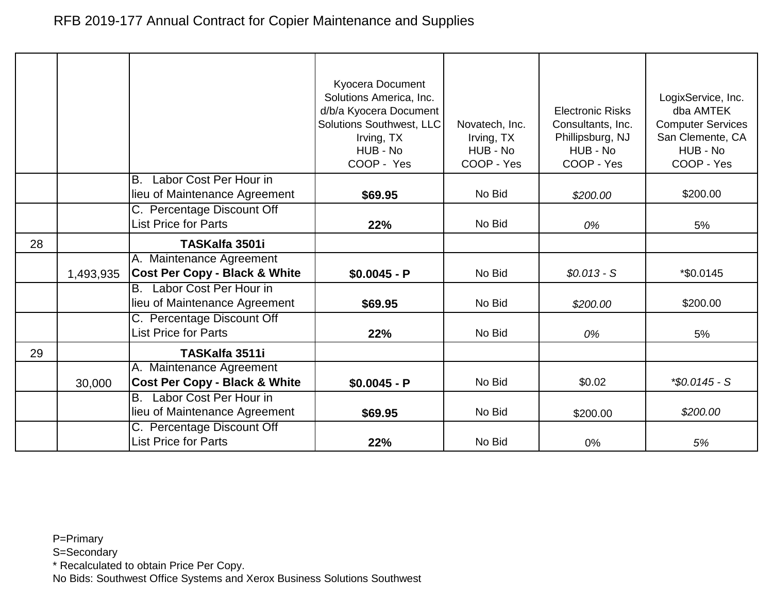|    |           |                                                                      | Kyocera Document<br>Solutions America, Inc.<br>d/b/a Kyocera Document<br><b>Solutions Southwest, LLC</b><br>Irving, TX<br>HUB - No<br>COOP - Yes | Novatech, Inc.<br>Irving, TX<br>HUB - No<br>COOP - Yes | <b>Electronic Risks</b><br>Consultants, Inc.<br>Phillipsburg, NJ<br>HUB - No<br>COOP - Yes | LogixService, Inc.<br>dba AMTEK<br><b>Computer Services</b><br>San Clemente, CA<br>HUB - No<br>COOP - Yes |
|----|-----------|----------------------------------------------------------------------|--------------------------------------------------------------------------------------------------------------------------------------------------|--------------------------------------------------------|--------------------------------------------------------------------------------------------|-----------------------------------------------------------------------------------------------------------|
|    |           | Labor Cost Per Hour in<br>Β.                                         |                                                                                                                                                  | No Bid                                                 |                                                                                            | \$200.00                                                                                                  |
|    |           | lieu of Maintenance Agreement                                        | \$69.95                                                                                                                                          |                                                        | \$200.00                                                                                   |                                                                                                           |
|    |           | C. Percentage Discount Off<br><b>List Price for Parts</b>            | 22%                                                                                                                                              | No Bid                                                 | 0%                                                                                         | 5%                                                                                                        |
| 28 |           | TASKalfa 3501i                                                       |                                                                                                                                                  |                                                        |                                                                                            |                                                                                                           |
|    | 1,493,935 | A. Maintenance Agreement<br><b>Cost Per Copy - Black &amp; White</b> | $$0.0045 - P$                                                                                                                                    | No Bid                                                 | $$0.013 - S$                                                                               | *\$0.0145                                                                                                 |
|    |           | Labor Cost Per Hour in<br>B.<br>lieu of Maintenance Agreement        | \$69.95                                                                                                                                          | No Bid                                                 | \$200.00                                                                                   | \$200.00                                                                                                  |
|    |           | C. Percentage Discount Off<br><b>List Price for Parts</b>            | 22%                                                                                                                                              | No Bid                                                 | 0%                                                                                         | 5%                                                                                                        |
| 29 |           | TASKalfa 3511i                                                       |                                                                                                                                                  |                                                        |                                                                                            |                                                                                                           |
|    | 30,000    | A. Maintenance Agreement<br><b>Cost Per Copy - Black &amp; White</b> | $$0.0045 - P$                                                                                                                                    | No Bid                                                 | \$0.02                                                                                     | $*$ \$0.0145 - S                                                                                          |
|    |           | Labor Cost Per Hour in<br>В.<br>lieu of Maintenance Agreement        | \$69.95                                                                                                                                          | No Bid                                                 | \$200.00                                                                                   | \$200.00                                                                                                  |
|    |           | C. Percentage Discount Off<br>List Price for Parts                   | 22%                                                                                                                                              | No Bid                                                 | 0%                                                                                         | 5%                                                                                                        |

S=Secondary

\* Recalculated to obtain Price Per Copy.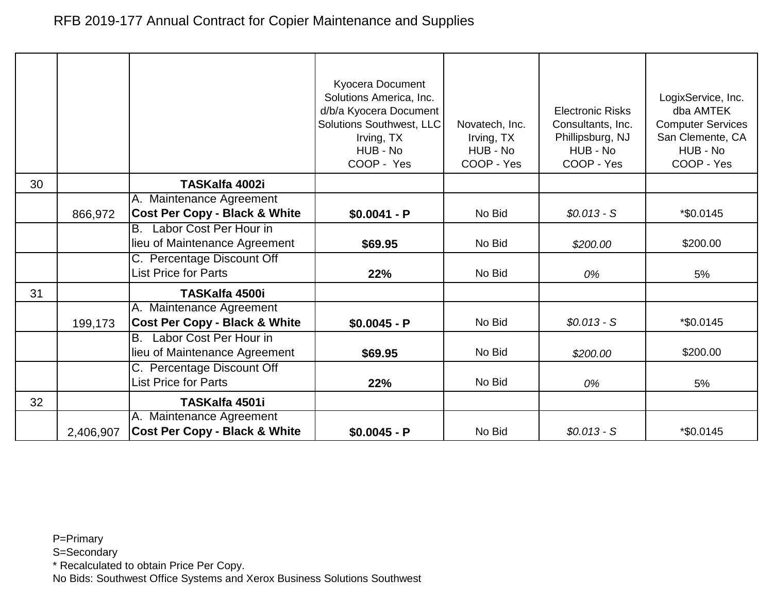|    |           |                                                                      | Kyocera Document<br>Solutions America, Inc.<br>d/b/a Kyocera Document<br>Solutions Southwest, LLC<br>Irving, TX<br>HUB - No<br>COOP - Yes | Novatech, Inc.<br>Irving, TX<br>HUB - No<br>COOP - Yes | <b>Electronic Risks</b><br>Consultants, Inc.<br>Phillipsburg, NJ<br>HUB - No<br>COOP - Yes | LogixService, Inc.<br>dba AMTEK<br><b>Computer Services</b><br>San Clemente, CA<br>HUB - No<br>COOP - Yes |
|----|-----------|----------------------------------------------------------------------|-------------------------------------------------------------------------------------------------------------------------------------------|--------------------------------------------------------|--------------------------------------------------------------------------------------------|-----------------------------------------------------------------------------------------------------------|
| 30 |           | TASKalfa 4002i                                                       |                                                                                                                                           |                                                        |                                                                                            |                                                                                                           |
|    |           | A. Maintenance Agreement                                             |                                                                                                                                           |                                                        |                                                                                            |                                                                                                           |
|    | 866,972   | <b>Cost Per Copy - Black &amp; White</b>                             | $$0.0041 - P$                                                                                                                             | No Bid                                                 | $$0.013 - S$                                                                               | *\$0.0145                                                                                                 |
|    |           | Labor Cost Per Hour in<br>IB.<br>lieu of Maintenance Agreement       | \$69.95                                                                                                                                   | No Bid                                                 | \$200.00                                                                                   | \$200.00                                                                                                  |
|    |           | C. Percentage Discount Off<br><b>List Price for Parts</b>            | 22%                                                                                                                                       | No Bid                                                 | 0%                                                                                         | 5%                                                                                                        |
| 31 |           | <b>TASKalfa 4500i</b>                                                |                                                                                                                                           |                                                        |                                                                                            |                                                                                                           |
|    | 199,173   | A. Maintenance Agreement<br><b>Cost Per Copy - Black &amp; White</b> | $$0.0045 - P$                                                                                                                             | No Bid                                                 | $$0.013 - S$                                                                               | *\$0.0145                                                                                                 |
|    |           | Labor Cost Per Hour in<br><b>B.</b><br>lieu of Maintenance Agreement | \$69.95                                                                                                                                   | No Bid                                                 | \$200.00                                                                                   | \$200.00                                                                                                  |
|    |           | C. Percentage Discount Off<br><b>List Price for Parts</b>            | 22%                                                                                                                                       | No Bid                                                 | 0%                                                                                         | 5%                                                                                                        |
| 32 |           | TASKalfa 4501i                                                       |                                                                                                                                           |                                                        |                                                                                            |                                                                                                           |
|    | 2,406,907 | A. Maintenance Agreement<br><b>Cost Per Copy - Black &amp; White</b> | $$0.0045 - P$                                                                                                                             | No Bid                                                 | $$0.013 - S$                                                                               | *\$0.0145                                                                                                 |

S=Secondary

\* Recalculated to obtain Price Per Copy.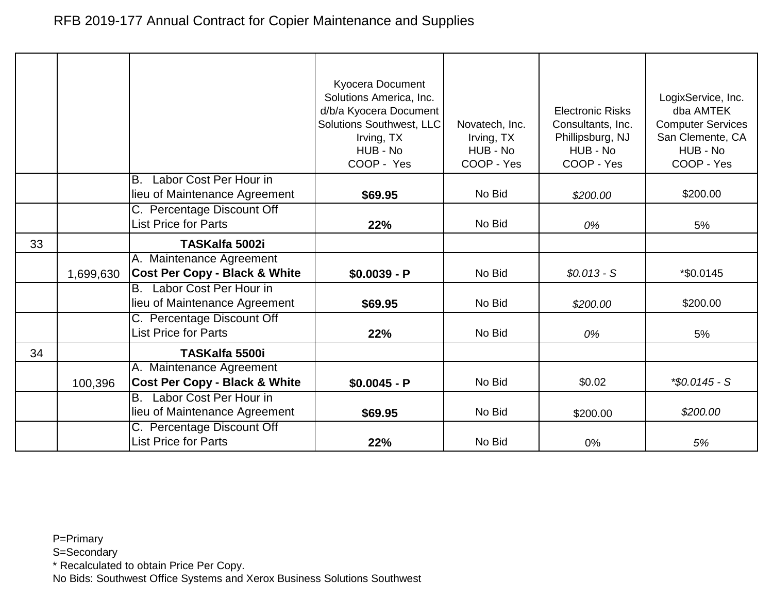|    |           |                                                                      | Kyocera Document<br>Solutions America, Inc.<br>d/b/a Kyocera Document<br>Solutions Southwest, LLC<br>Irving, TX<br>HUB - No<br>COOP - Yes | Novatech, Inc.<br>Irving, TX<br>HUB - No<br>COOP - Yes | <b>Electronic Risks</b><br>Consultants, Inc.<br>Phillipsburg, NJ<br>HUB - No<br>COOP - Yes | LogixService, Inc.<br>dba AMTEK<br><b>Computer Services</b><br>San Clemente, CA<br>HUB - No<br>COOP - Yes |
|----|-----------|----------------------------------------------------------------------|-------------------------------------------------------------------------------------------------------------------------------------------|--------------------------------------------------------|--------------------------------------------------------------------------------------------|-----------------------------------------------------------------------------------------------------------|
|    |           | Labor Cost Per Hour in<br>B.<br>lieu of Maintenance Agreement        | \$69.95                                                                                                                                   | No Bid                                                 | \$200.00                                                                                   | \$200.00                                                                                                  |
|    |           |                                                                      |                                                                                                                                           |                                                        |                                                                                            |                                                                                                           |
|    |           | C. Percentage Discount Off<br><b>List Price for Parts</b>            | 22%                                                                                                                                       | No Bid                                                 | 0%                                                                                         | 5%                                                                                                        |
| 33 |           | TASKalfa 5002i                                                       |                                                                                                                                           |                                                        |                                                                                            |                                                                                                           |
|    | 1,699,630 | A. Maintenance Agreement<br><b>Cost Per Copy - Black &amp; White</b> | $$0.0039 - P$                                                                                                                             | No Bid                                                 | $$0.013 - S$                                                                               | *\$0.0145                                                                                                 |
|    |           | Labor Cost Per Hour in<br><b>B.</b><br>lieu of Maintenance Agreement | \$69.95                                                                                                                                   | No Bid                                                 | \$200.00                                                                                   | \$200.00                                                                                                  |
|    |           | C. Percentage Discount Off<br><b>List Price for Parts</b>            | 22%                                                                                                                                       | No Bid                                                 | 0%                                                                                         | 5%                                                                                                        |
| 34 |           | <b>TASKalfa 5500i</b>                                                |                                                                                                                                           |                                                        |                                                                                            |                                                                                                           |
|    | 100,396   | A. Maintenance Agreement<br><b>Cost Per Copy - Black &amp; White</b> | $$0.0045 - P$                                                                                                                             | No Bid                                                 | \$0.02                                                                                     | $*$ \$0.0145 - S                                                                                          |
|    |           | Labor Cost Per Hour in<br>В.<br>lieu of Maintenance Agreement        | \$69.95                                                                                                                                   | No Bid                                                 | \$200.00                                                                                   | \$200.00                                                                                                  |
|    |           | C. Percentage Discount Off<br><b>List Price for Parts</b>            | 22%                                                                                                                                       | No Bid                                                 | 0%                                                                                         | 5%                                                                                                        |

S=Secondary

\* Recalculated to obtain Price Per Copy.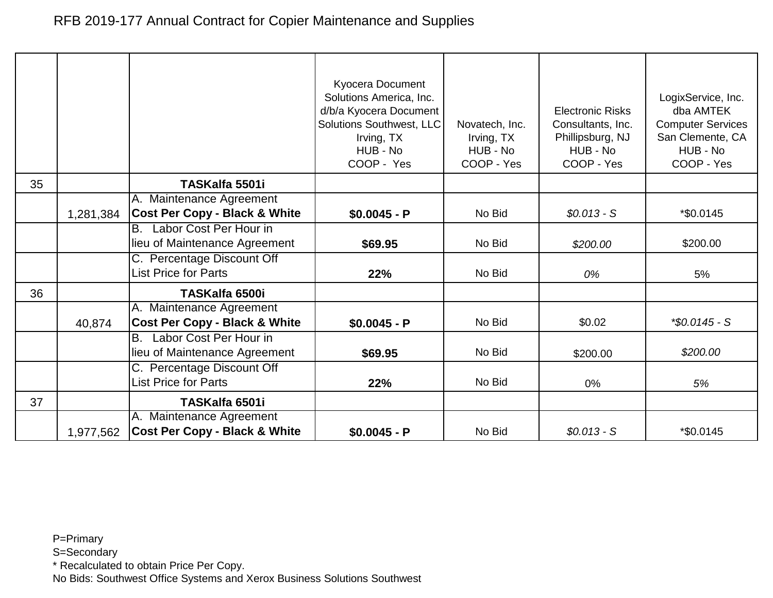|    |           |                                                               | Kyocera Document<br>Solutions America, Inc.<br>d/b/a Kyocera Document<br>Solutions Southwest, LLC<br>Irving, TX<br>HUB - No | Novatech, Inc.<br>Irving, TX<br>HUB - No | <b>Electronic Risks</b><br>Consultants, Inc.<br>Phillipsburg, NJ<br>HUB - No | LogixService, Inc.<br>dba AMTEK<br><b>Computer Services</b><br>San Clemente, CA<br>HUB - No |
|----|-----------|---------------------------------------------------------------|-----------------------------------------------------------------------------------------------------------------------------|------------------------------------------|------------------------------------------------------------------------------|---------------------------------------------------------------------------------------------|
|    |           |                                                               | COOP - Yes                                                                                                                  | COOP - Yes                               | COOP - Yes                                                                   | COOP - Yes                                                                                  |
| 35 |           | TASKalfa 5501i                                                |                                                                                                                             |                                          |                                                                              |                                                                                             |
|    |           | A. Maintenance Agreement                                      |                                                                                                                             |                                          |                                                                              |                                                                                             |
|    | 1,281,384 | <b>Cost Per Copy - Black &amp; White</b>                      | $$0.0045 - P$                                                                                                               | No Bid                                   | $$0.013 - S$                                                                 | *\$0.0145                                                                                   |
|    |           | Labor Cost Per Hour in<br>B.<br>lieu of Maintenance Agreement |                                                                                                                             | No Bid                                   |                                                                              | \$200.00                                                                                    |
|    |           | C. Percentage Discount Off                                    | \$69.95                                                                                                                     |                                          | \$200.00                                                                     |                                                                                             |
|    |           | <b>List Price for Parts</b>                                   | 22%                                                                                                                         | No Bid                                   | 0%                                                                           | 5%                                                                                          |
| 36 |           | <b>TASKalfa 6500i</b>                                         |                                                                                                                             |                                          |                                                                              |                                                                                             |
|    |           | A. Maintenance Agreement                                      |                                                                                                                             |                                          |                                                                              |                                                                                             |
|    | 40,874    | <b>Cost Per Copy - Black &amp; White</b>                      | $$0.0045 - P$                                                                                                               | No Bid                                   | \$0.02                                                                       | $*$ \$0.0145 - S                                                                            |
|    |           | Labor Cost Per Hour in<br>B.                                  |                                                                                                                             |                                          |                                                                              |                                                                                             |
|    |           | lieu of Maintenance Agreement                                 | \$69.95                                                                                                                     | No Bid                                   | \$200.00                                                                     | \$200.00                                                                                    |
|    |           | C. Percentage Discount Off                                    |                                                                                                                             |                                          |                                                                              |                                                                                             |
|    |           | <b>List Price for Parts</b>                                   | 22%                                                                                                                         | No Bid                                   | 0%                                                                           | 5%                                                                                          |
| 37 |           | TASKalfa 6501i                                                |                                                                                                                             |                                          |                                                                              |                                                                                             |
|    |           | A. Maintenance Agreement                                      |                                                                                                                             |                                          |                                                                              |                                                                                             |
|    | 1,977,562 | <b>Cost Per Copy - Black &amp; White</b>                      | $$0.0045 - P$                                                                                                               | No Bid                                   | $$0.013 - S$                                                                 | *\$0.0145                                                                                   |

S=Secondary

\* Recalculated to obtain Price Per Copy.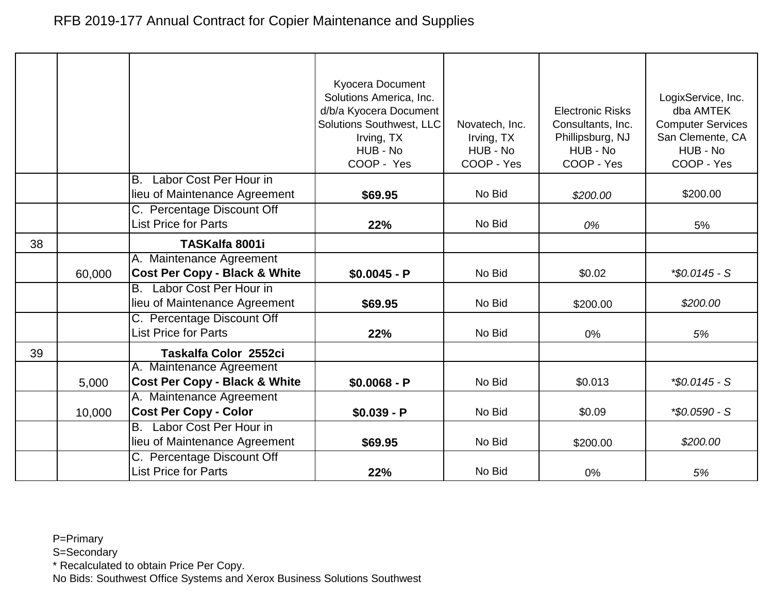|    |        |                                                                      | Kyocera Document<br>Solutions America, Inc.<br>d/b/a Kyocera Document<br>Solutions Southwest, LLC<br>Irving, TX<br>HUB - No<br>COOP - Yes | Novatech, Inc.<br>Irving, TX<br>HUB - No<br>COOP - Yes | <b>Electronic Risks</b><br>Consultants, Inc.<br>Phillipsburg, NJ<br>HUB - No<br>COOP - Yes | LogixService, Inc.<br>dba AMTEK<br><b>Computer Services</b><br>San Clemente, CA<br>HUB - No<br>COOP - Yes |
|----|--------|----------------------------------------------------------------------|-------------------------------------------------------------------------------------------------------------------------------------------|--------------------------------------------------------|--------------------------------------------------------------------------------------------|-----------------------------------------------------------------------------------------------------------|
|    |        | Labor Cost Per Hour in<br>B.<br>lieu of Maintenance Agreement        | \$69.95                                                                                                                                   | No Bid                                                 | \$200.00                                                                                   | \$200.00                                                                                                  |
|    |        | C. Percentage Discount Off<br><b>List Price for Parts</b>            | 22%                                                                                                                                       | No Bid                                                 | 0%                                                                                         | 5%                                                                                                        |
| 38 |        | TASKalfa 8001i                                                       |                                                                                                                                           |                                                        |                                                                                            |                                                                                                           |
|    | 60,000 | A. Maintenance Agreement<br><b>Cost Per Copy - Black &amp; White</b> | $$0.0045 - P$                                                                                                                             | No Bid                                                 | \$0.02                                                                                     | $*$ \$0.0145 - S                                                                                          |
|    |        | Labor Cost Per Hour in<br><b>B.</b><br>lieu of Maintenance Agreement | \$69.95                                                                                                                                   | No Bid                                                 | \$200.00                                                                                   | \$200.00                                                                                                  |
|    |        | C. Percentage Discount Off<br><b>List Price for Parts</b>            | 22%                                                                                                                                       | No Bid                                                 | 0%                                                                                         | 5%                                                                                                        |
| 39 |        | Taskalfa Color 2552ci                                                |                                                                                                                                           |                                                        |                                                                                            |                                                                                                           |
|    | 5,000  | A. Maintenance Agreement<br><b>Cost Per Copy - Black &amp; White</b> | $$0.0068 - P$                                                                                                                             | No Bid                                                 | \$0.013                                                                                    | $*$ \$0.0145 - S                                                                                          |
|    | 10,000 | A. Maintenance Agreement<br><b>Cost Per Copy - Color</b>             | $$0.039 - P$                                                                                                                              | No Bid                                                 | \$0.09                                                                                     | *\$0.0590 - S                                                                                             |
|    |        | Labor Cost Per Hour in<br><b>B.</b><br>lieu of Maintenance Agreement | \$69.95                                                                                                                                   | No Bid                                                 | \$200.00                                                                                   | \$200.00                                                                                                  |
|    |        | C. Percentage Discount Off<br><b>List Price for Parts</b>            | 22%                                                                                                                                       | No Bid                                                 | 0%                                                                                         | 5%                                                                                                        |

S=Secondary

\* Recalculated to obtain Price Per Copy.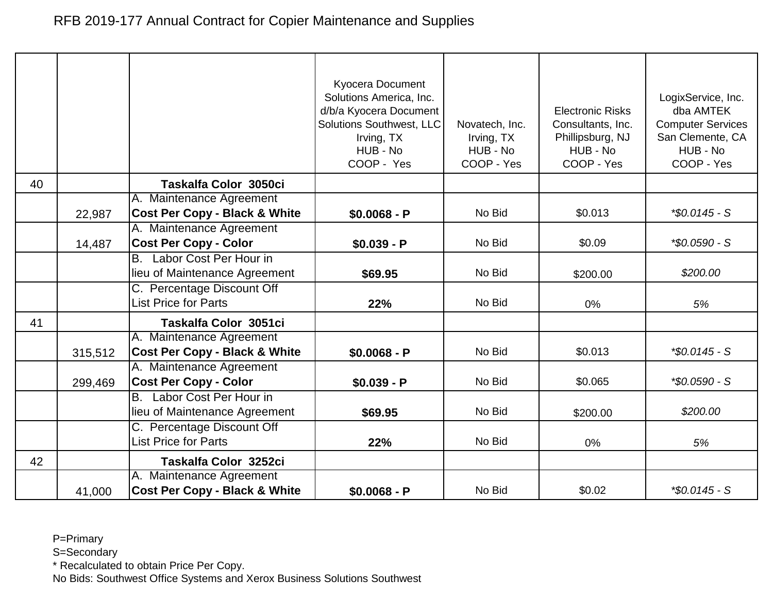|    |         |                                                           | Kyocera Document<br>Solutions America, Inc.<br>d/b/a Kyocera Document<br>Solutions Southwest, LLC<br>Irving, TX<br>HUB - No<br>COOP - Yes | Novatech, Inc.<br>Irving, TX<br>HUB - No<br>COOP - Yes | <b>Electronic Risks</b><br>Consultants, Inc.<br>Phillipsburg, NJ<br>HUB - No<br>COOP - Yes | LogixService, Inc.<br>dba AMTEK<br><b>Computer Services</b><br>San Clemente, CA<br>HUB - No<br>COOP - Yes |
|----|---------|-----------------------------------------------------------|-------------------------------------------------------------------------------------------------------------------------------------------|--------------------------------------------------------|--------------------------------------------------------------------------------------------|-----------------------------------------------------------------------------------------------------------|
| 40 |         | Taskalfa Color 3050ci                                     |                                                                                                                                           |                                                        |                                                                                            |                                                                                                           |
|    |         | A. Maintenance Agreement                                  |                                                                                                                                           |                                                        |                                                                                            |                                                                                                           |
|    | 22,987  | <b>Cost Per Copy - Black &amp; White</b>                  | $$0.0068 - P$                                                                                                                             | No Bid                                                 | \$0.013                                                                                    | $*$ \$0.0145 - S                                                                                          |
|    |         | A. Maintenance Agreement                                  |                                                                                                                                           |                                                        |                                                                                            |                                                                                                           |
|    | 14,487  | <b>Cost Per Copy - Color</b>                              | $$0.039 - P$                                                                                                                              | No Bid                                                 | \$0.09                                                                                     | *\$0.0590 - S                                                                                             |
|    |         | B. Labor Cost Per Hour in                                 |                                                                                                                                           |                                                        |                                                                                            |                                                                                                           |
|    |         | lieu of Maintenance Agreement                             | \$69.95                                                                                                                                   | No Bid                                                 | \$200.00                                                                                   | \$200.00                                                                                                  |
|    |         | C. Percentage Discount Off<br><b>List Price for Parts</b> | 22%                                                                                                                                       | No Bid                                                 | 0%                                                                                         | 5%                                                                                                        |
| 41 |         | Taskalfa Color 3051ci                                     |                                                                                                                                           |                                                        |                                                                                            |                                                                                                           |
|    |         | A. Maintenance Agreement                                  |                                                                                                                                           |                                                        |                                                                                            |                                                                                                           |
|    | 315,512 | <b>Cost Per Copy - Black &amp; White</b>                  | $$0.0068 - P$                                                                                                                             | No Bid                                                 | \$0.013                                                                                    | $*$ \$0.0145 - S                                                                                          |
|    |         | A. Maintenance Agreement                                  |                                                                                                                                           |                                                        |                                                                                            |                                                                                                           |
|    | 299,469 | <b>Cost Per Copy - Color</b>                              | $$0.039 - P$                                                                                                                              | No Bid                                                 | \$0.065                                                                                    | *\$0.0590 - S                                                                                             |
|    |         | B. Labor Cost Per Hour in                                 |                                                                                                                                           |                                                        |                                                                                            |                                                                                                           |
|    |         | lieu of Maintenance Agreement                             | \$69.95                                                                                                                                   | No Bid                                                 | \$200.00                                                                                   | \$200.00                                                                                                  |
|    |         | C. Percentage Discount Off<br><b>List Price for Parts</b> | 22%                                                                                                                                       | No Bid                                                 | 0%                                                                                         | 5%                                                                                                        |
| 42 |         | Taskalfa Color 3252ci                                     |                                                                                                                                           |                                                        |                                                                                            |                                                                                                           |
|    |         | A. Maintenance Agreement                                  |                                                                                                                                           |                                                        |                                                                                            |                                                                                                           |
|    | 41,000  | <b>Cost Per Copy - Black &amp; White</b>                  | $$0.0068 - P$                                                                                                                             | No Bid                                                 | \$0.02                                                                                     | $*$ \$0.0145 - S                                                                                          |

S=Secondary

\* Recalculated to obtain Price Per Copy.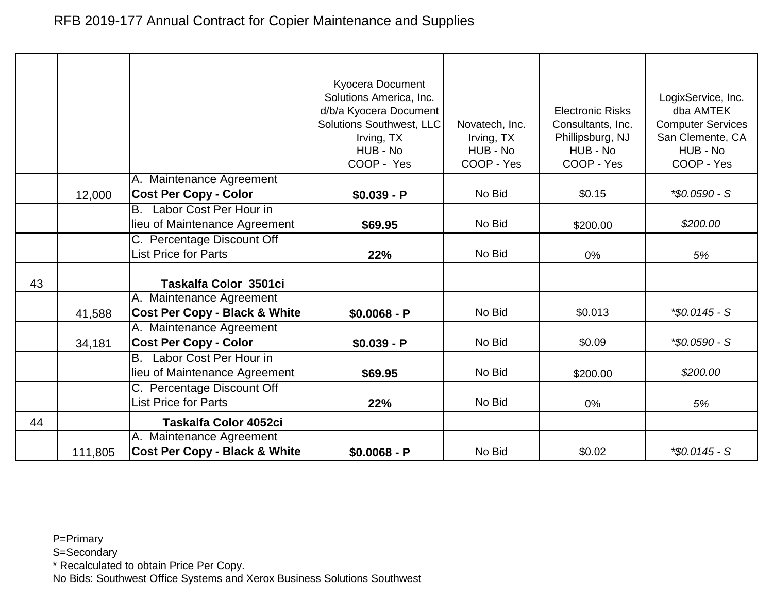|    |         |                                                                      | Kyocera Document<br>Solutions America, Inc.<br>d/b/a Kyocera Document<br>Solutions Southwest, LLC<br>Irving, TX<br>HUB - No<br>COOP - Yes | Novatech, Inc.<br>Irving, TX<br>HUB - No<br>COOP - Yes | <b>Electronic Risks</b><br>Consultants, Inc.<br>Phillipsburg, NJ<br>HUB - No<br>COOP - Yes | LogixService, Inc.<br>dba AMTEK<br><b>Computer Services</b><br>San Clemente, CA<br>HUB - No<br>COOP - Yes |
|----|---------|----------------------------------------------------------------------|-------------------------------------------------------------------------------------------------------------------------------------------|--------------------------------------------------------|--------------------------------------------------------------------------------------------|-----------------------------------------------------------------------------------------------------------|
|    |         | A. Maintenance Agreement                                             |                                                                                                                                           |                                                        |                                                                                            |                                                                                                           |
|    | 12,000  | <b>Cost Per Copy - Color</b>                                         | $$0.039 - P$                                                                                                                              | No Bid                                                 | \$0.15                                                                                     | *\$0.0590 - S                                                                                             |
|    |         | B. Labor Cost Per Hour in                                            |                                                                                                                                           |                                                        |                                                                                            |                                                                                                           |
|    |         | lieu of Maintenance Agreement                                        | \$69.95                                                                                                                                   | No Bid                                                 | \$200.00                                                                                   | \$200.00                                                                                                  |
|    |         | C. Percentage Discount Off                                           |                                                                                                                                           |                                                        |                                                                                            |                                                                                                           |
|    |         | <b>List Price for Parts</b>                                          | 22%                                                                                                                                       | No Bid                                                 | 0%                                                                                         | 5%                                                                                                        |
| 43 |         | Taskalfa Color 3501ci                                                |                                                                                                                                           |                                                        |                                                                                            |                                                                                                           |
|    | 41,588  | A. Maintenance Agreement<br><b>Cost Per Copy - Black &amp; White</b> | $$0.0068 - P$                                                                                                                             | No Bid                                                 | \$0.013                                                                                    | $*$ \$0.0145 - S                                                                                          |
|    | 34,181  | A. Maintenance Agreement<br><b>Cost Per Copy - Color</b>             | $$0.039 - P$                                                                                                                              | No Bid                                                 | \$0.09                                                                                     | *\$0.0590 - S                                                                                             |
|    |         | Labor Cost Per Hour in<br>В.<br>lieu of Maintenance Agreement        | \$69.95                                                                                                                                   | No Bid                                                 | \$200.00                                                                                   | \$200.00                                                                                                  |
|    |         | C. Percentage Discount Off<br><b>List Price for Parts</b>            | 22%                                                                                                                                       | No Bid                                                 | 0%                                                                                         | 5%                                                                                                        |
| 44 |         | Taskalfa Color 4052ci                                                |                                                                                                                                           |                                                        |                                                                                            |                                                                                                           |
|    | 111,805 | A. Maintenance Agreement<br><b>Cost Per Copy - Black &amp; White</b> | $$0.0068 - P$                                                                                                                             | No Bid                                                 | \$0.02                                                                                     | $*$ \$0.0145 - S                                                                                          |

S=Secondary

\* Recalculated to obtain Price Per Copy.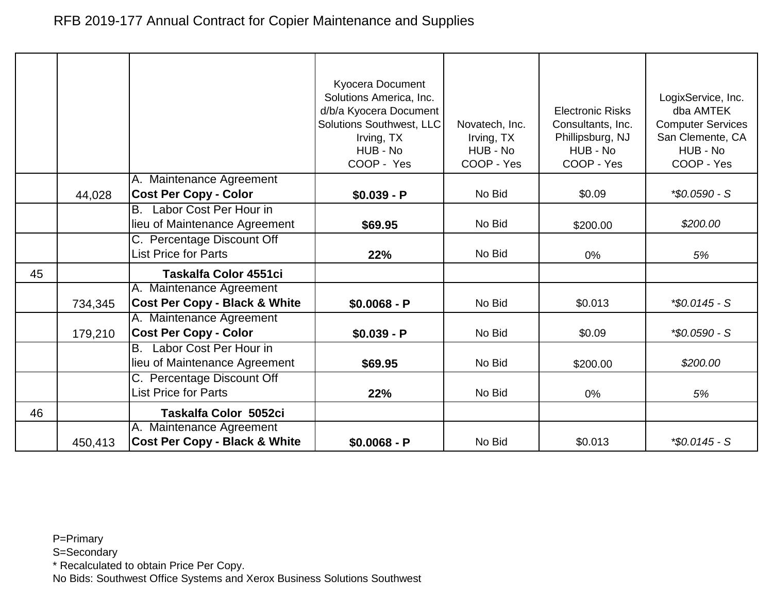|    |         |                                                                             | Kyocera Document<br>Solutions America, Inc.<br>d/b/a Kyocera Document<br><b>Solutions Southwest, LLC</b><br>Irving, TX<br>HUB - No<br>COOP - Yes | Novatech, Inc.<br>Irving, TX<br>HUB - No<br>COOP - Yes | <b>Electronic Risks</b><br>Consultants, Inc.<br>Phillipsburg, NJ<br>HUB - No<br>COOP - Yes | LogixService, Inc.<br>dba AMTEK<br><b>Computer Services</b><br>San Clemente, CA<br>HUB - No<br>COOP - Yes |
|----|---------|-----------------------------------------------------------------------------|--------------------------------------------------------------------------------------------------------------------------------------------------|--------------------------------------------------------|--------------------------------------------------------------------------------------------|-----------------------------------------------------------------------------------------------------------|
|    | 44,028  | A. Maintenance Agreement<br><b>Cost Per Copy - Color</b>                    | $$0.039 - P$                                                                                                                                     | No Bid                                                 | \$0.09                                                                                     | *\$0.0590 - S                                                                                             |
|    |         | Labor Cost Per Hour in<br><b>B.</b><br>lieu of Maintenance Agreement        | \$69.95                                                                                                                                          | No Bid                                                 | \$200.00                                                                                   | \$200.00                                                                                                  |
|    |         | C. Percentage Discount Off<br><b>List Price for Parts</b>                   | 22%                                                                                                                                              | No Bid                                                 | 0%                                                                                         | 5%                                                                                                        |
| 45 |         | Taskalfa Color 4551ci                                                       |                                                                                                                                                  |                                                        |                                                                                            |                                                                                                           |
|    | 734,345 | A. Maintenance Agreement<br><b>Cost Per Copy - Black &amp; White</b>        | $$0.0068 - P$                                                                                                                                    | No Bid                                                 | \$0.013                                                                                    | *\$0.0145 - S                                                                                             |
|    | 179,210 | A. Maintenance Agreement<br><b>Cost Per Copy - Color</b>                    | $$0.039 - P$                                                                                                                                     | No Bid                                                 | \$0.09                                                                                     | *\$0.0590 - S                                                                                             |
|    |         | Labor Cost Per Hour in<br>$\overline{B}$ .<br>lieu of Maintenance Agreement | \$69.95                                                                                                                                          | No Bid                                                 | \$200.00                                                                                   | \$200.00                                                                                                  |
|    |         | C. Percentage Discount Off<br><b>List Price for Parts</b>                   | 22%                                                                                                                                              | No Bid                                                 | 0%                                                                                         | 5%                                                                                                        |
| 46 |         | Taskalfa Color 5052ci                                                       |                                                                                                                                                  |                                                        |                                                                                            |                                                                                                           |
|    | 450,413 | A. Maintenance Agreement<br><b>Cost Per Copy - Black &amp; White</b>        | $$0.0068 - P$                                                                                                                                    | No Bid                                                 | \$0.013                                                                                    | *\$0.0145 - S                                                                                             |

S=Secondary

\* Recalculated to obtain Price Per Copy.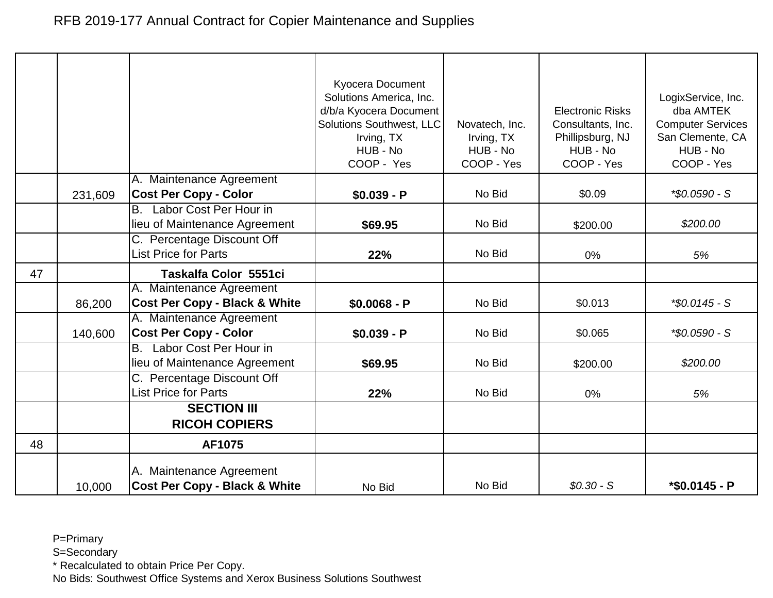|    |         |                                                                      | Kyocera Document<br>Solutions America, Inc.<br>d/b/a Kyocera Document<br><b>Solutions Southwest, LLC</b><br>Irving, TX<br>HUB - No<br>COOP - Yes | Novatech, Inc.<br>Irving, TX<br>HUB - No<br>COOP - Yes | <b>Electronic Risks</b><br>Consultants, Inc.<br>Phillipsburg, NJ<br>HUB - No<br>COOP - Yes | LogixService, Inc.<br>dba AMTEK<br><b>Computer Services</b><br>San Clemente, CA<br>HUB - No<br>COOP - Yes |
|----|---------|----------------------------------------------------------------------|--------------------------------------------------------------------------------------------------------------------------------------------------|--------------------------------------------------------|--------------------------------------------------------------------------------------------|-----------------------------------------------------------------------------------------------------------|
|    | 231,609 | A. Maintenance Agreement<br><b>Cost Per Copy - Color</b>             | $$0.039 - P$                                                                                                                                     | No Bid                                                 | \$0.09                                                                                     | *\$0.0590 - S                                                                                             |
|    |         | B. Labor Cost Per Hour in<br>lieu of Maintenance Agreement           | \$69.95                                                                                                                                          | No Bid                                                 | \$200.00                                                                                   | \$200.00                                                                                                  |
|    |         | C. Percentage Discount Off<br><b>List Price for Parts</b>            | 22%                                                                                                                                              | No Bid                                                 | 0%                                                                                         | 5%                                                                                                        |
| 47 |         | Taskalfa Color 5551ci                                                |                                                                                                                                                  |                                                        |                                                                                            |                                                                                                           |
|    | 86,200  | A. Maintenance Agreement<br><b>Cost Per Copy - Black &amp; White</b> | $$0.0068 - P$                                                                                                                                    | No Bid                                                 | \$0.013                                                                                    | *\$0.0145 - S                                                                                             |
|    | 140,600 | A. Maintenance Agreement<br><b>Cost Per Copy - Color</b>             | $$0.039 - P$                                                                                                                                     | No Bid                                                 | \$0.065                                                                                    | *\$0.0590 - S                                                                                             |
|    |         | Labor Cost Per Hour in<br>B.<br>lieu of Maintenance Agreement        | \$69.95                                                                                                                                          | No Bid                                                 | \$200.00                                                                                   | \$200.00                                                                                                  |
|    |         | C. Percentage Discount Off<br><b>List Price for Parts</b>            | 22%                                                                                                                                              | No Bid                                                 | 0%                                                                                         | 5%                                                                                                        |
|    |         | <b>SECTION III</b><br><b>RICOH COPIERS</b>                           |                                                                                                                                                  |                                                        |                                                                                            |                                                                                                           |
| 48 |         | AF1075                                                               |                                                                                                                                                  |                                                        |                                                                                            |                                                                                                           |
|    | 10,000  | A. Maintenance Agreement<br><b>Cost Per Copy - Black &amp; White</b> | No Bid                                                                                                                                           | No Bid                                                 | $$0.30-S$                                                                                  | *\$0.0145 - P                                                                                             |

S=Secondary

\* Recalculated to obtain Price Per Copy.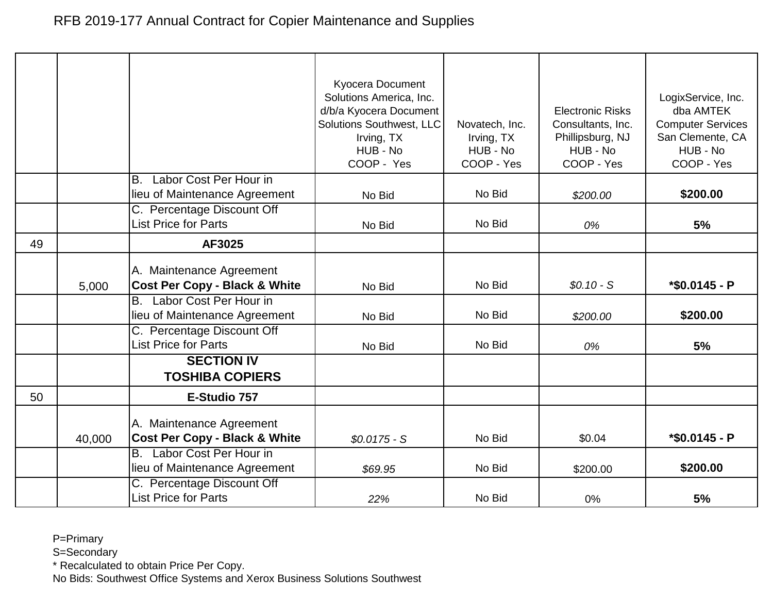|    |        |                                                                                                      | Kyocera Document<br>Solutions America, Inc.<br>d/b/a Kyocera Document<br>Solutions Southwest, LLC<br>Irving, TX<br>HUB - No<br>COOP - Yes | Novatech, Inc.<br>Irving, TX<br>HUB - No<br>COOP - Yes | <b>Electronic Risks</b><br>Consultants, Inc.<br>Phillipsburg, NJ<br>HUB - No<br>COOP - Yes | LogixService, Inc.<br>dba AMTEK<br><b>Computer Services</b><br>San Clemente, CA<br>HUB - No<br>COOP - Yes |
|----|--------|------------------------------------------------------------------------------------------------------|-------------------------------------------------------------------------------------------------------------------------------------------|--------------------------------------------------------|--------------------------------------------------------------------------------------------|-----------------------------------------------------------------------------------------------------------|
|    |        | Labor Cost Per Hour in<br><b>B.</b><br>lieu of Maintenance Agreement                                 | No Bid                                                                                                                                    | No Bid                                                 | \$200.00                                                                                   | \$200.00                                                                                                  |
|    |        | C. Percentage Discount Off<br><b>List Price for Parts</b>                                            | No Bid                                                                                                                                    | No Bid                                                 | 0%                                                                                         | 5%                                                                                                        |
| 49 |        | AF3025                                                                                               |                                                                                                                                           |                                                        |                                                                                            |                                                                                                           |
|    | 5,000  | A. Maintenance Agreement<br><b>Cost Per Copy - Black &amp; White</b>                                 | No Bid                                                                                                                                    | No Bid                                                 | $$0.10-S$                                                                                  | $*$ \$0.0145 - P                                                                                          |
|    |        | B. Labor Cost Per Hour in<br>lieu of Maintenance Agreement                                           | No Bid                                                                                                                                    | No Bid                                                 | \$200.00                                                                                   | \$200.00                                                                                                  |
|    |        | C. Percentage Discount Off<br><b>List Price for Parts</b>                                            | No Bid                                                                                                                                    | No Bid                                                 | 0%                                                                                         | 5%                                                                                                        |
|    |        | <b>SECTION IV</b><br><b>TOSHIBA COPIERS</b>                                                          |                                                                                                                                           |                                                        |                                                                                            |                                                                                                           |
| 50 |        | E-Studio 757                                                                                         |                                                                                                                                           |                                                        |                                                                                            |                                                                                                           |
|    | 40,000 | A. Maintenance Agreement<br><b>Cost Per Copy - Black &amp; White</b><br>Labor Cost Per Hour in<br>B. | $$0.0175 - S$                                                                                                                             | No Bid                                                 | \$0.04                                                                                     | $*$ \$0.0145 - P                                                                                          |
|    |        | lieu of Maintenance Agreement                                                                        | \$69.95                                                                                                                                   | No Bid                                                 | \$200.00                                                                                   | \$200.00                                                                                                  |
|    |        | C. Percentage Discount Off<br><b>List Price for Parts</b>                                            | 22%                                                                                                                                       | No Bid                                                 | 0%                                                                                         | 5%                                                                                                        |

S=Secondary

\* Recalculated to obtain Price Per Copy.